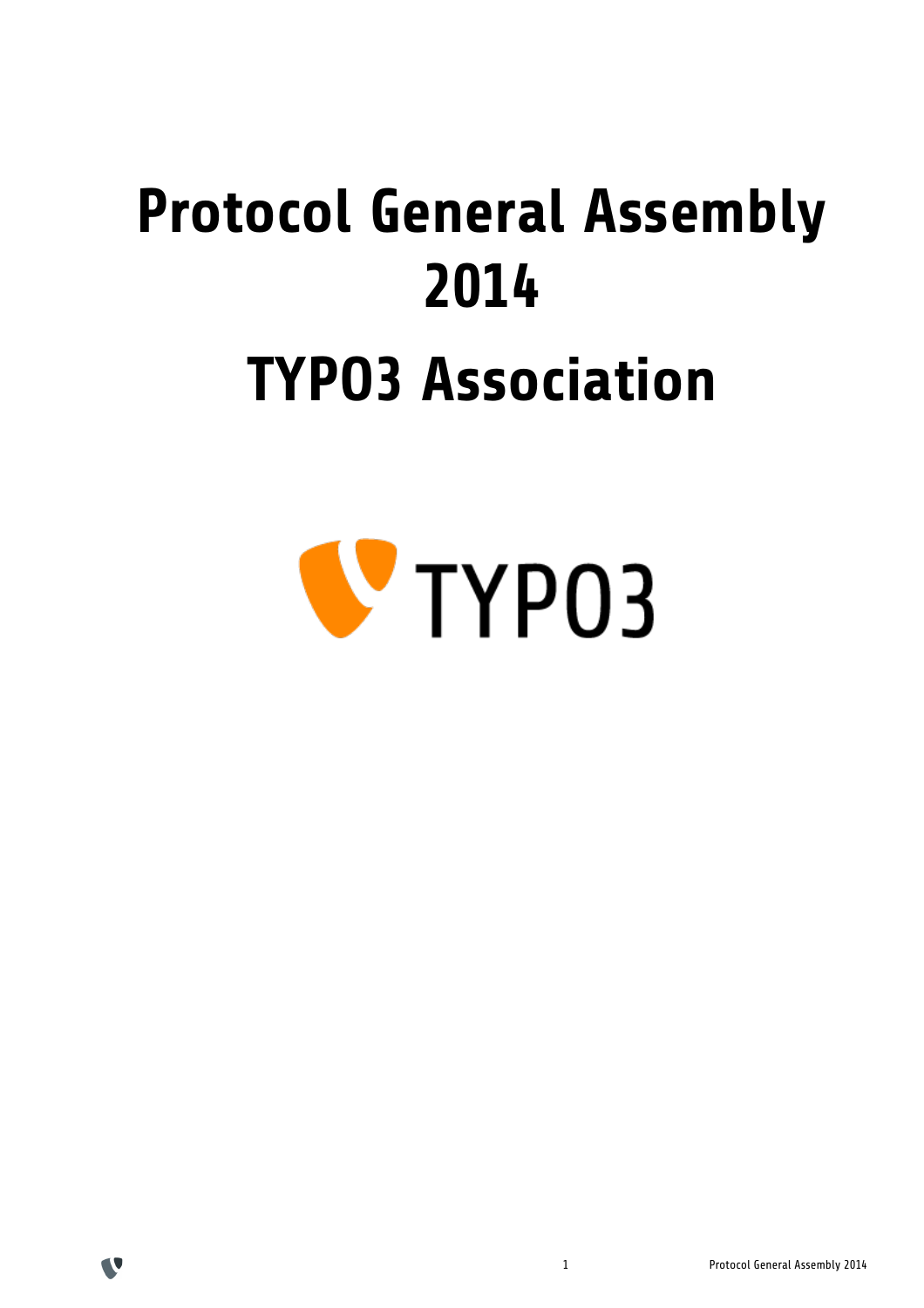# **Protocol General Assembly 2014 TYPO3 Association**





V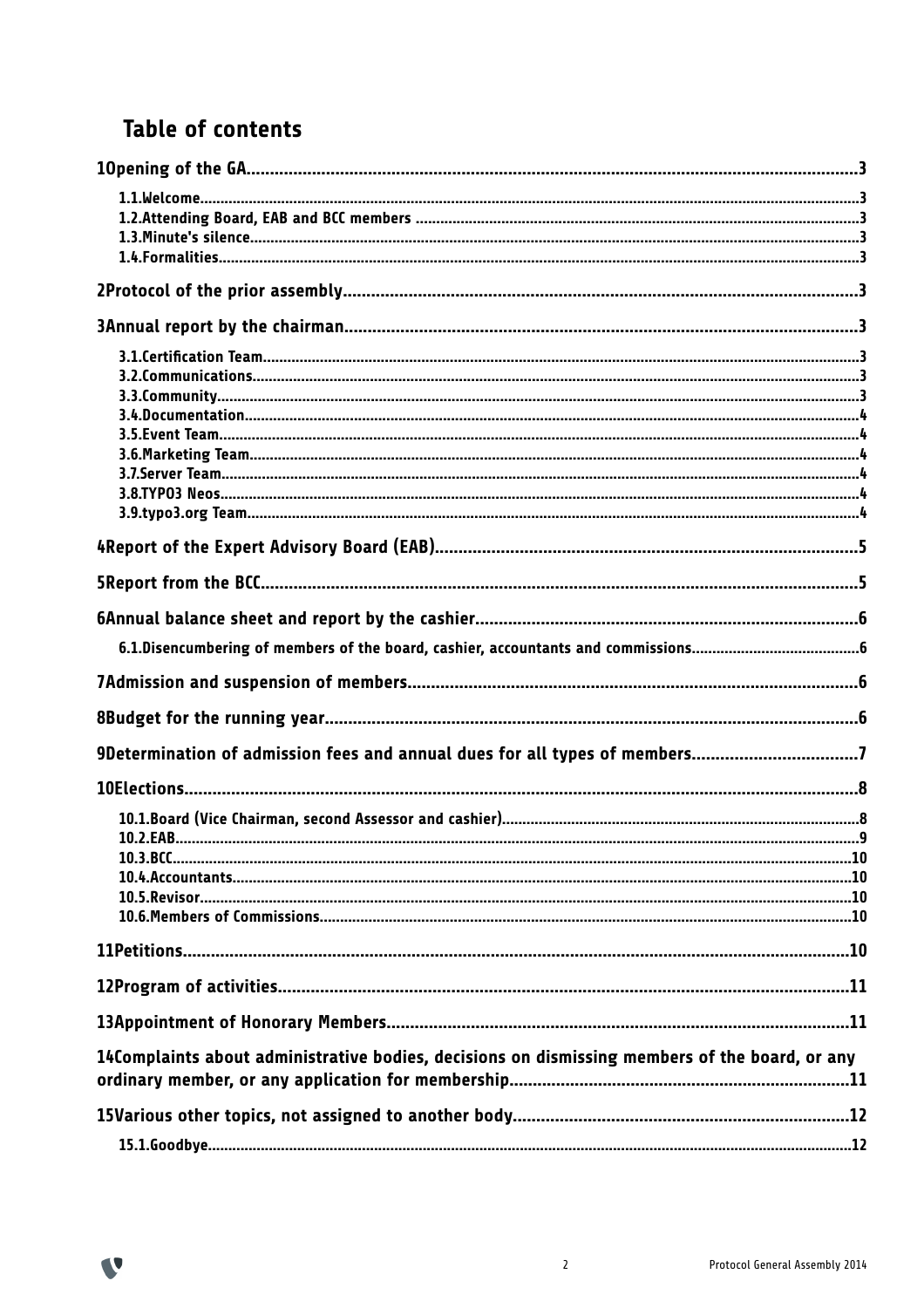# **Table of contents**

V

| 9Determination of admission fees and annual dues for all types of members7                     |  |
|------------------------------------------------------------------------------------------------|--|
|                                                                                                |  |
|                                                                                                |  |
|                                                                                                |  |
|                                                                                                |  |
|                                                                                                |  |
|                                                                                                |  |
|                                                                                                |  |
|                                                                                                |  |
|                                                                                                |  |
|                                                                                                |  |
| 14Complaints about administrative bodies, decisions on dismissing members of the board, or any |  |
|                                                                                                |  |
|                                                                                                |  |
|                                                                                                |  |
|                                                                                                |  |

 $\overline{2}$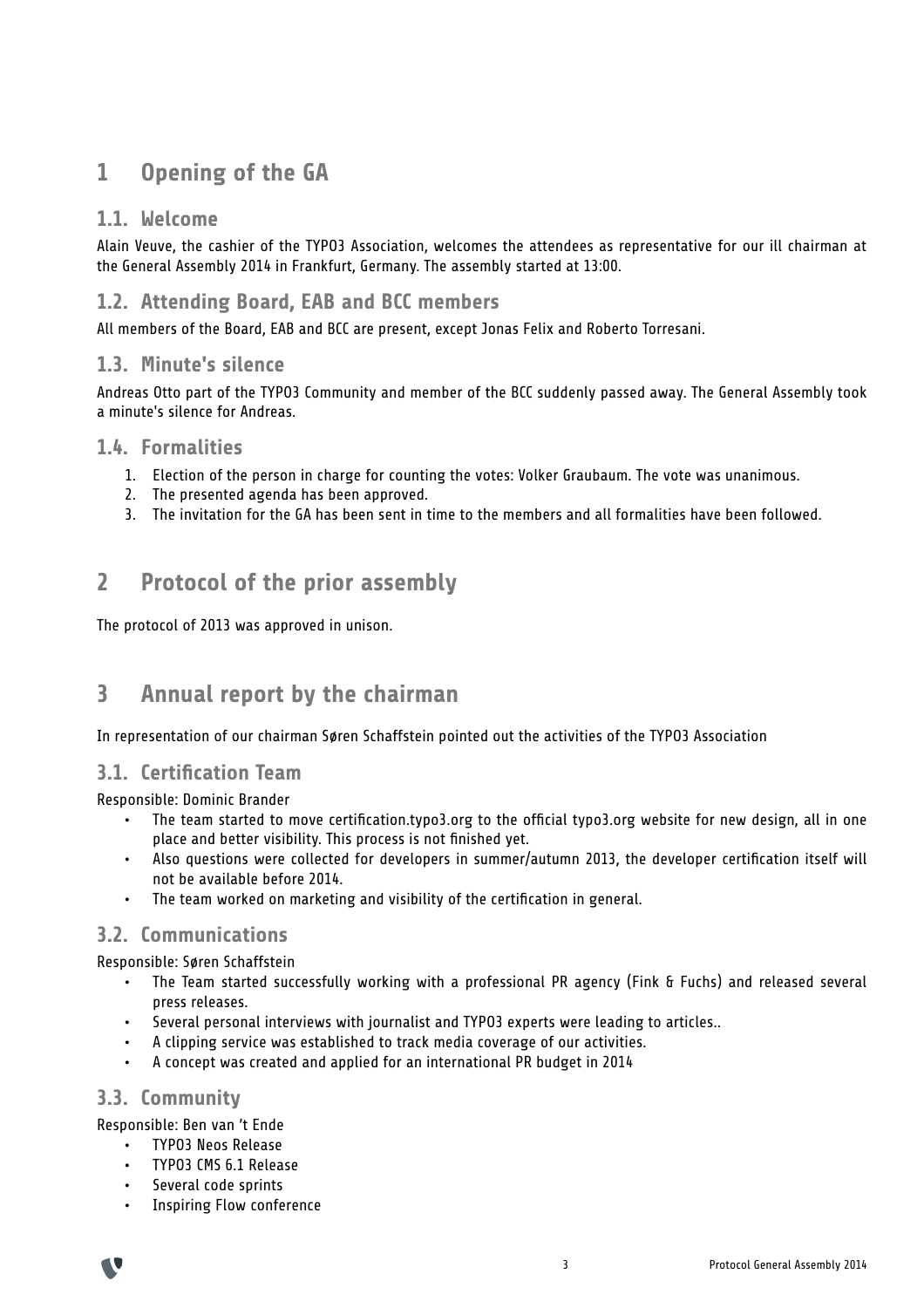# **1 Opening of the GA**

#### **1.1. Welcome**

Alain Veuve, the cashier of the TYPO3 Association, welcomes the attendees as representative for our ill chairman at the General Assembly 2014 in Frankfurt, Germany. The assembly started at 13:00.

#### **1.2. Attending Board, EAB and BCC members**

All members of the Board, EAB and BCC are present, except Jonas Felix and Roberto Torresani.

#### **1.3. Minute's silence**

Andreas Otto part of the TYPO3 Community and member of the BCC suddenly passed away. The General Assembly took a minute's silence for Andreas.

#### **1.4. Formalities**

- 1. Election of the person in charge for counting the votes: Volker Graubaum. The vote was unanimous.
- 2. The presented agenda has been approved.
- 3. The invitation for the GA has been sent in time to the members and all formalities have been followed.

## **2 Protocol of the prior assembly**

The protocol of 2013 was approved in unison.

## **3 Annual report by the chairman**

In representation of our chairman Søren Schaffstein pointed out the activities of the TYPO3 Association

#### **3.1. Certification Team**

Responsible: Dominic Brander

- The team started to move certification.typo3.org to the official typo3.org website for new design, all in one place and better visibility. This process is not finished yet.
- Also questions were collected for developers in summer/autumn 2013, the developer certification itself will not be available before 2014.
- The team worked on marketing and visibility of the certification in general.

#### **3.2. Communications**

Responsible: Søren Schaffstein

- The Team started successfully working with a professional PR agency (Fink & Fuchs) and released several press releases.
- Several personal interviews with journalist and TYPO3 experts were leading to articles..
- A clipping service was established to track media coverage of our activities.
- A concept was created and applied for an international PR budget in 2014

#### **3.3. Community**

Responsible: Ben van 't Ende

- TYPO3 Neos Release
- TYPO3 CMS 6.1 Release
- Several code sprints
- Inspiring Flow conference

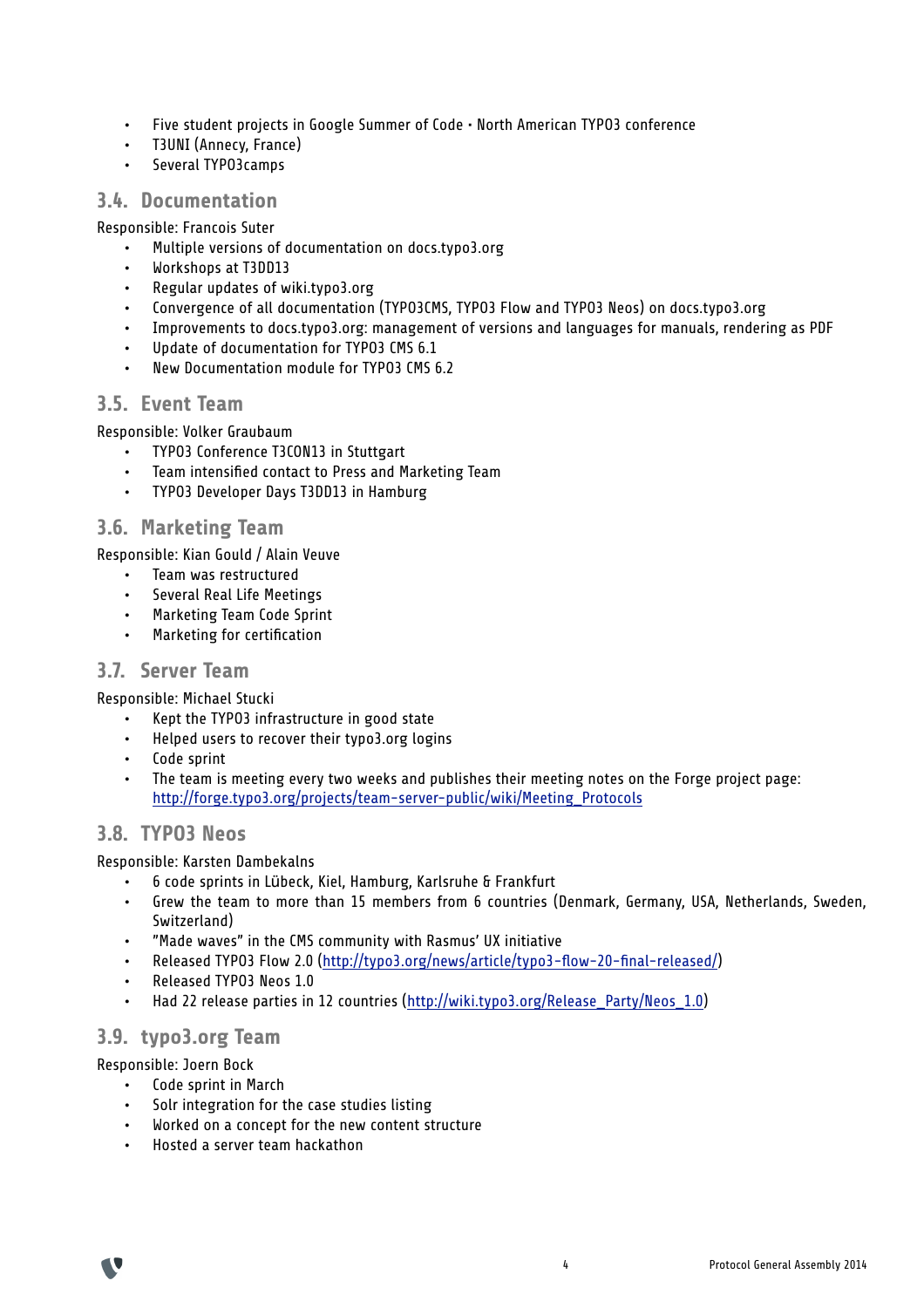- Five student projects in Google Summer of Code North American TYPO3 conference
- T3UNI (Annecy, France)
- Several TYPO3camps

#### **3.4. Documentation**

Responsible: Francois Suter

- Multiple versions of documentation on docs.typo3.org
- Workshops at T3DD13
- Regular updates of wiki.typo3.org
- Convergence of all documentation (TYPO3CMS, TYPO3 Flow and TYPO3 Neos) on docs.typo3.org
- Improvements to docs.typo3.org: management of versions and languages for manuals, rendering as PDF
- Update of documentation for TYP03 CMS 6.1
- New Documentation module for TYPO3 CMS 6.2

#### **3.5. Event Team**

Responsible: Volker Graubaum

- TYPO3 Conference T3CON13 in Stuttgart
- Team intensified contact to Press and Marketing Team
- TYPO3 Developer Days T3DD13 in Hamburg

#### **3.6. Marketing Team**

Responsible: Kian Gould / Alain Veuve

- Team was restructured
- Several Real Life Meetings
- Marketing Team Code Sprint
- Marketing for certification

#### **3.7. Server Team**

Responsible: Michael Stucki

- Kept the TYPO3 infrastructure in good state
- Helped users to recover their typo3.org logins
- Code sprint
- The team is meeting every two weeks and publishes their meeting notes on the Forge project page: http://forge.typo3.org/projects/team-server-public/wiki/Meeting\_Protocols

#### **3.8. TYPO3 Neos**

Responsible: Karsten Dambekalns

- 6 code sprints in Lübeck, Kiel, Hamburg, Karlsruhe & Frankfurt
- Grew the team to more than 15 members from 6 countries (Denmark, Germany, USA, Netherlands, Sweden, Switzerland)
- "Made waves" in the CMS community with Rasmus' UX initiative
- Released TYPO3 Flow 2.0 (http://typo3.org/news/article/typo3-flow-20-final-released/)
- Released TYPO3 Neos 1.0
- Had 22 release parties in 12 countries (http://wiki.typo3.org/Release\_Party/Neos\_1.0)

#### **3.9. typo3.org Team**

Responsible: Joern Bock

- Code sprint in March
- Solr integration for the case studies listing
- Worked on a concept for the new content structure
- Hosted a server team hackathon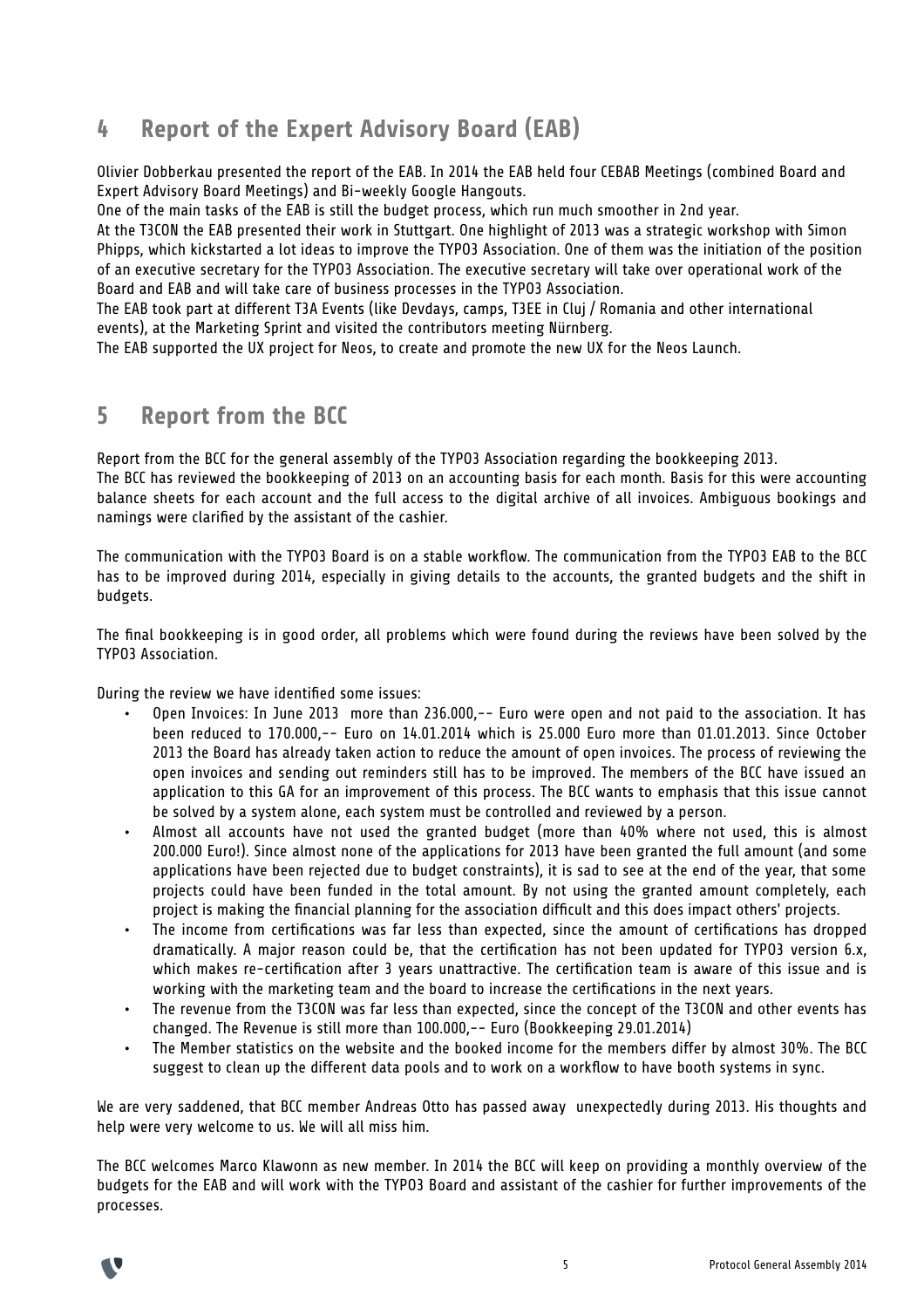# **4 Report of the Expert Advisory Board (EAB)**

Olivier Dobberkau presented the report of the EAB. In 2014 the EAB held four CEBAB Meetings (combined Board and Expert Advisory Board Meetings) and Bi-weekly Google Hangouts.

One of the main tasks of the EAB is still the budget process, which run much smoother in 2nd year.

At the T3CON the EAB presented their work in Stuttgart. One highlight of 2013 was a strategic workshop with Simon Phipps, which kickstarted a lot ideas to improve the TYPO3 Association. One of them was the initiation of the position of an executive secretary for the TYPO3 Association. The executive secretary will take over operational work of the Board and EAB and will take care of business processes in the TYPO3 Association.

The EAB took part at different T3A Events (like Devdays, camps, T3EE in Cluj / Romania and other international events), at the Marketing Sprint and visited the contributors meeting Nürnberg.

The EAB supported the UX project for Neos, to create and promote the new UX for the Neos Launch.

## **5 Report from the BCC**

Report from the BCC for the general assembly of the TYPO3 Association regarding the bookkeeping 2013. The BCC has reviewed the bookkeeping of 2013 on an accounting basis for each month. Basis for this were accounting balance sheets for each account and the full access to the digital archive of all invoices. Ambiguous bookings and namings were clarified by the assistant of the cashier.

The communication with the TYPO3 Board is on a stable workflow. The communication from the TYPO3 EAB to the BCC has to be improved during 2014, especially in giving details to the accounts, the granted budgets and the shift in budgets.

The final bookkeeping is in good order, all problems which were found during the reviews have been solved by the TYPO3 Association.

During the review we have identified some issues:

- Open Invoices: In June 2013 more than 236.000,-- Euro were open and not paid to the association. It has been reduced to 170.000,-- Euro on 14.01.2014 which is 25.000 Euro more than 01.01.2013. Since October 2013 the Board has already taken action to reduce the amount of open invoices. The process of reviewing the open invoices and sending out reminders still has to be improved. The members of the BCC have issued an application to this GA for an improvement of this process. The BCC wants to emphasis that this issue cannot be solved by a system alone, each system must be controlled and reviewed by a person.
- Almost all accounts have not used the granted budget (more than 40% where not used, this is almost 200.000 Euro!). Since almost none of the applications for 2013 have been granted the full amount (and some applications have been rejected due to budget constraints), it is sad to see at the end of the year, that some projects could have been funded in the total amount. By not using the granted amount completely, each project is making the financial planning for the association difficult and this does impact others' projects.
- The income from certifications was far less than expected, since the amount of certifications has dropped dramatically. A major reason could be, that the certification has not been updated for TYPO3 version 6.x, which makes re-certification after 3 years unattractive. The certification team is aware of this issue and is working with the marketing team and the board to increase the certifications in the next years.
- The revenue from the T3CON was far less than expected, since the concept of the T3CON and other events has changed. The Revenue is still more than 100.000,-- Euro (Bookkeeping 29.01.2014)
- The Member statistics on the website and the booked income for the members differ by almost 30%. The BCC suggest to clean up the different data pools and to work on a workflow to have booth systems in sync.

We are very saddened, that BCC member Andreas Otto has passed away unexpectedly during 2013. His thoughts and help were very welcome to us. We will all miss him.

The BCC welcomes Marco Klawonn as new member. In 2014 the BCC will keep on providing a monthly overview of the budgets for the EAB and will work with the TYPO3 Board and assistant of the cashier for further improvements of the processes.

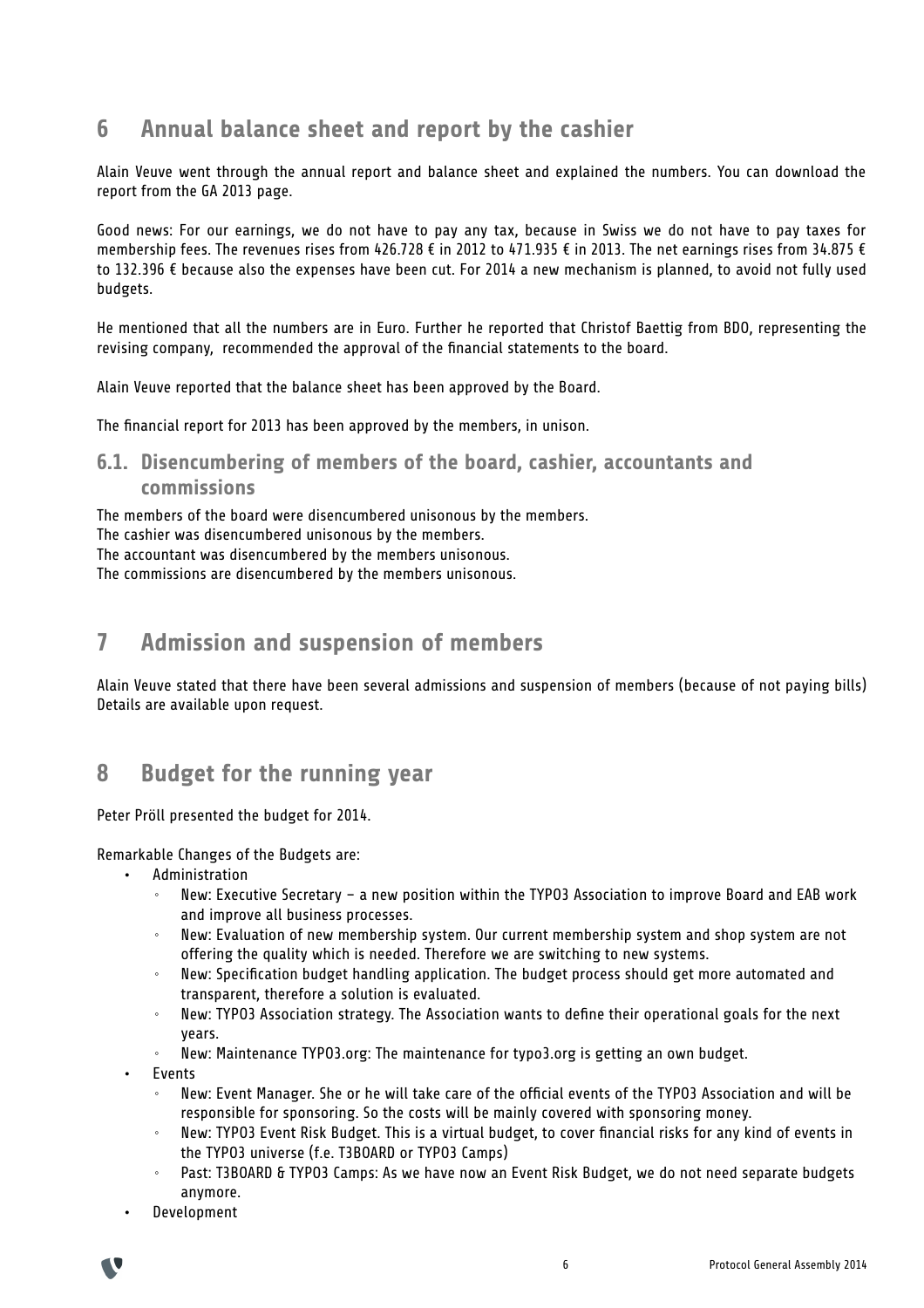## **6 Annual balance sheet and report by the cashier**

Alain Veuve went through the annual report and balance sheet and explained the numbers. You can download the report from the GA 2013 page.

Good news: For our earnings, we do not have to pay any tax, because in Swiss we do not have to pay taxes for membership fees. The revenues rises from 426.728 € in 2012 to 471.935 € in 2013. The net earnings rises from 34.875 € to 132.396 € because also the expenses have been cut. For 2014 a new mechanism is planned, to avoid not fully used budgets.

He mentioned that all the numbers are in Euro. Further he reported that Christof Baettig from BDO, representing the revising company, recommended the approval of the financial statements to the board.

Alain Veuve reported that the balance sheet has been approved by the Board.

The financial report for 2013 has been approved by the members, in unison.

#### **6.1. Disencumbering of members of the board, cashier, accountants and commissions**

The members of the board were disencumbered unisonous by the members. The cashier was disencumbered unisonous by the members. The accountant was disencumbered by the members unisonous. The commissions are disencumbered by the members unisonous.

## **7 Admission and suspension of members**

Alain Veuve stated that there have been several admissions and suspension of members (because of not paying bills) Details are available upon request.

## **8 Budget for the running year**

Peter Pröll presented the budget for 2014.

Remarkable Changes of the Budgets are:

- **Administration** 
	- New: Executive Secretary a new position within the TYPO3 Association to improve Board and EAB work and improve all business processes.
	- New: Evaluation of new membership system. Our current membership system and shop system are not offering the quality which is needed. Therefore we are switching to new systems.
	- New: Specification budget handling application. The budget process should get more automated and transparent, therefore a solution is evaluated.
	- New: TYPO3 Association strategy. The Association wants to define their operational goals for the next years.
	- New: Maintenance TYPO3.org: The maintenance for typo3.org is getting an own budget.
- **Events** 
	- New: Event Manager. She or he will take care of the official events of the TYPO3 Association and will be responsible for sponsoring. So the costs will be mainly covered with sponsoring money.
	- New: TYPO3 Event Risk Budget. This is a virtual budget, to cover financial risks for any kind of events in the TYPO3 universe (f.e. T3BOARD or TYPO3 Camps)
	- Past: T3BOARD & TYPO3 Camps: As we have now an Event Risk Budget, we do not need separate budgets anymore.
- Development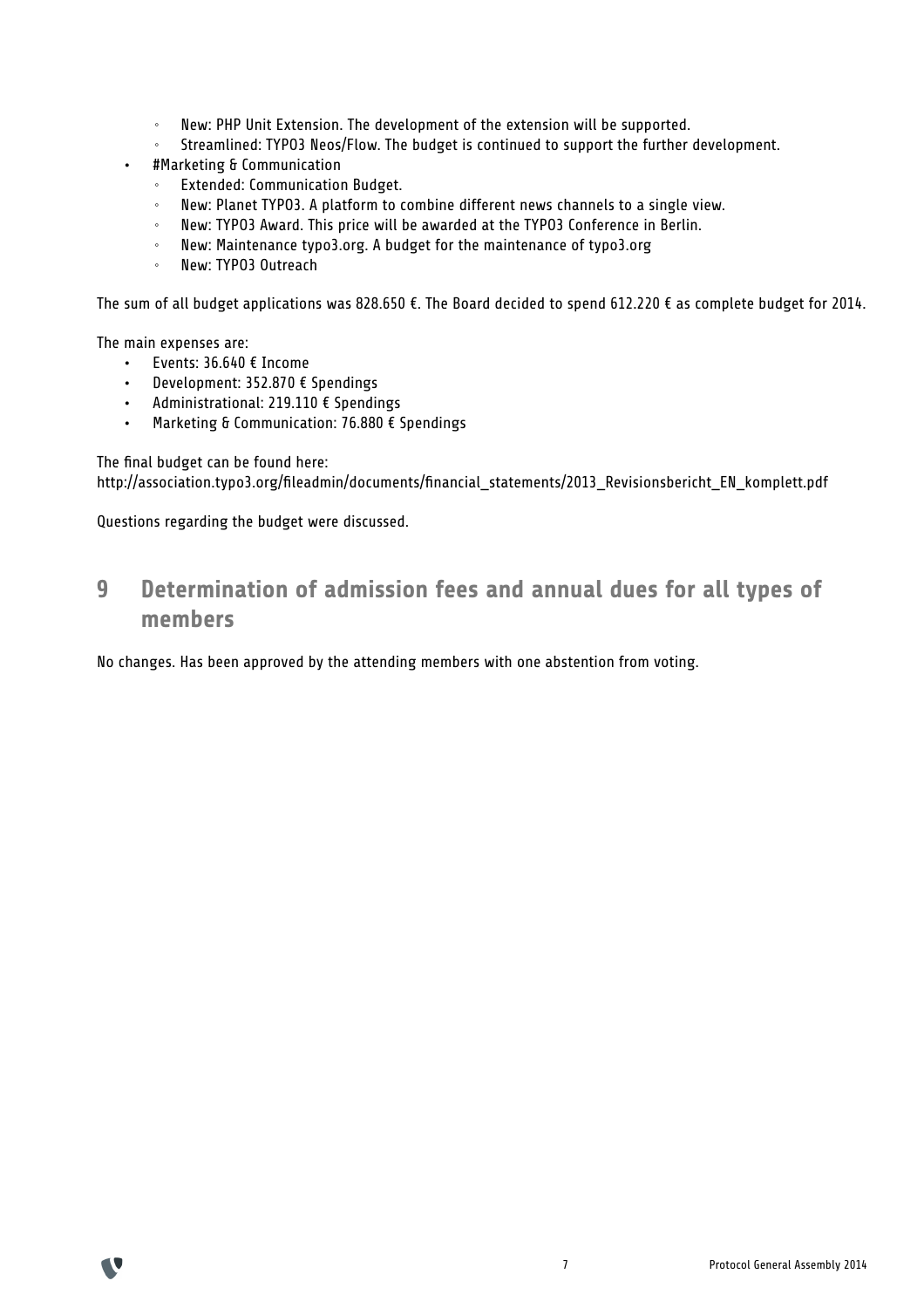- New: PHP Unit Extension. The development of the extension will be supported.
- Streamlined: TYPO3 Neos/Flow. The budget is continued to support the further development.
- #Marketing & Communication
	- Extended: Communication Budget.
	- New: Planet TYPO3. A platform to combine different news channels to a single view.
	- New: TYPO3 Award. This price will be awarded at the TYPO3 Conference in Berlin.
	- New: Maintenance typo3.org. A budget for the maintenance of typo3.org
	- New: TYPO3 Outreach

The sum of all budget applications was 828.650 €. The Board decided to spend 612.220 € as complete budget for 2014.

The main expenses are:

- Events: 36.640 € Income
- Development: 352.870 € Spendings
- Administrational: 219.110 € Spendings
- Marketing & Communication: 76.880 € Spendings

#### The final budget can be found here:

http://association.typo3.org/fileadmin/documents/financial\_statements/2013\_Revisionsbericht\_EN\_komplett.pdf

Questions regarding the budget were discussed.

## **9 Determination of admission fees and annual dues for all types of members**

No changes. Has been approved by the attending members with one abstention from voting.

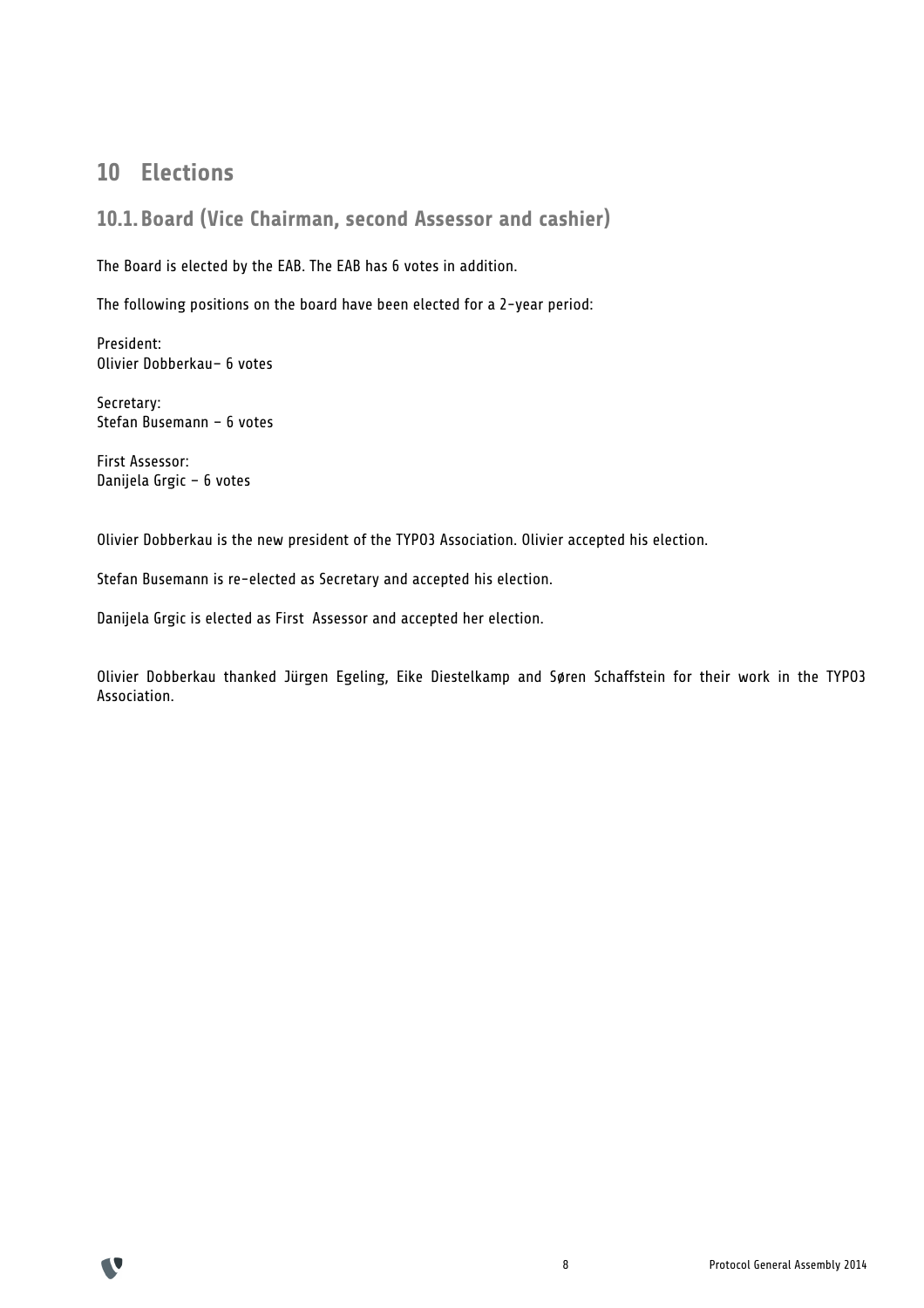## **10 Elections**

#### **10.1.Board (Vice Chairman, second Assessor and cashier)**

The Board is elected by the EAB. The EAB has 6 votes in addition.

The following positions on the board have been elected for a 2-year period:

President: Olivier Dobberkau– 6 votes

Secretary: Stefan Busemann – 6 votes

First Assessor: Danijela Grgic – 6 votes

Olivier Dobberkau is the new president of the TYPO3 Association. Olivier accepted his election.

Stefan Busemann is re-elected as Secretary and accepted his election.

Danijela Grgic is elected as First Assessor and accepted her election.

Olivier Dobberkau thanked Jürgen Egeling, Eike Diestelkamp and Søren Schaffstein for their work in the TYPO3 Association.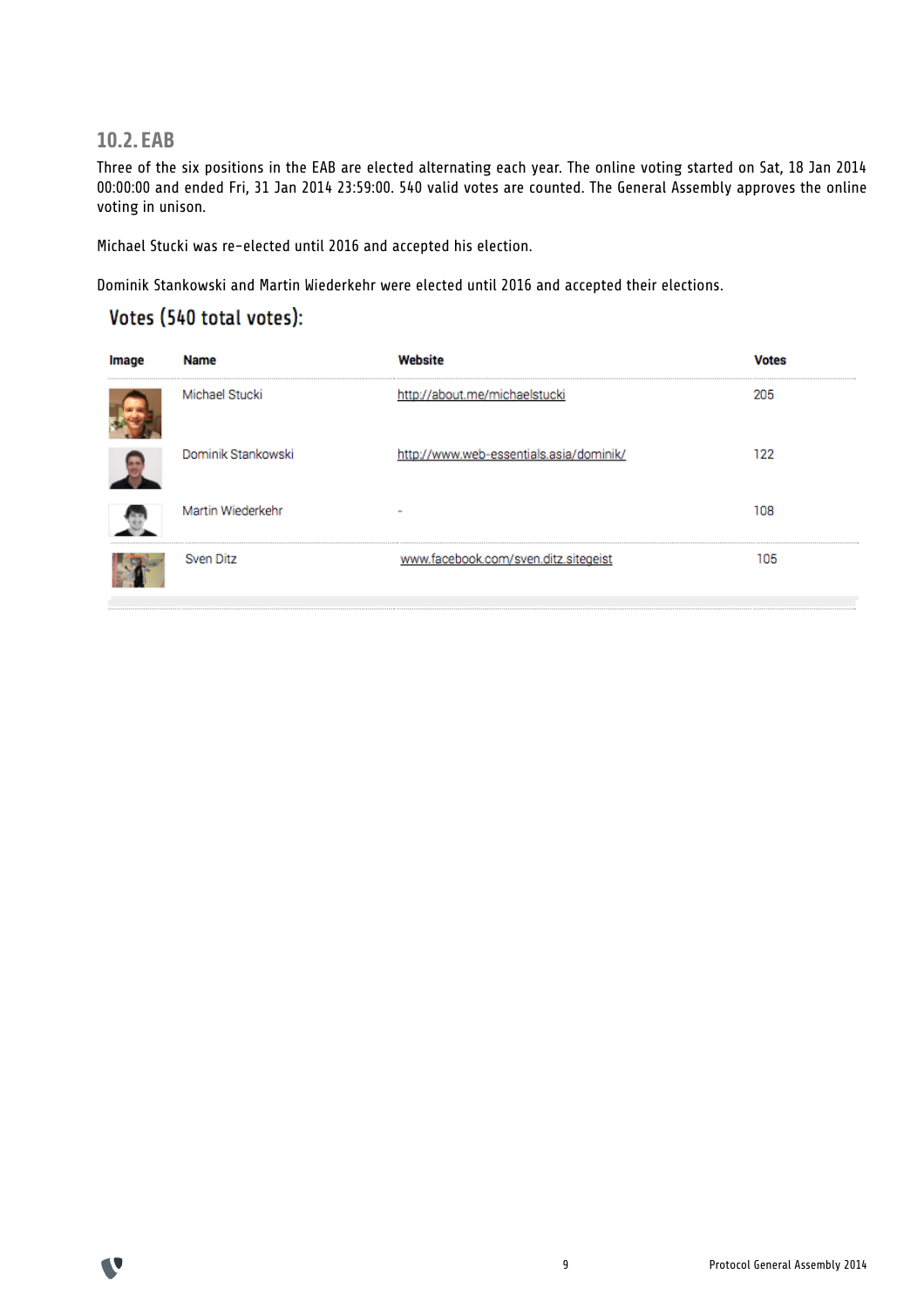**10.2.EAB**

Three of the six positions in the EAB are elected alternating each year. The online voting started on Sat, 18 Jan 2014 00:00:00 and ended Fri, 31 Jan 2014 23:59:00. 540 valid votes are counted. The General Assembly approves the online voting in unison.

Michael Stucki was re-elected until 2016 and accepted his election.

Dominik Stankowski and Martin Wiederkehr were elected until 2016 and accepted their elections.

### Votes (540 total votes):

| ıma | Name               |                                         |     |
|-----|--------------------|-----------------------------------------|-----|
|     | Michael Stucki     | http://about.me/michaelstucki           | 205 |
|     | Dominik Stankowski | http://www.web-essentials.asia/dominik/ | 122 |
|     | Martin Wiederkehr  | $\sim$                                  | 108 |
|     | Sven Ditz          | www.facebook.com/sven.ditz.sitegeist    | 105 |

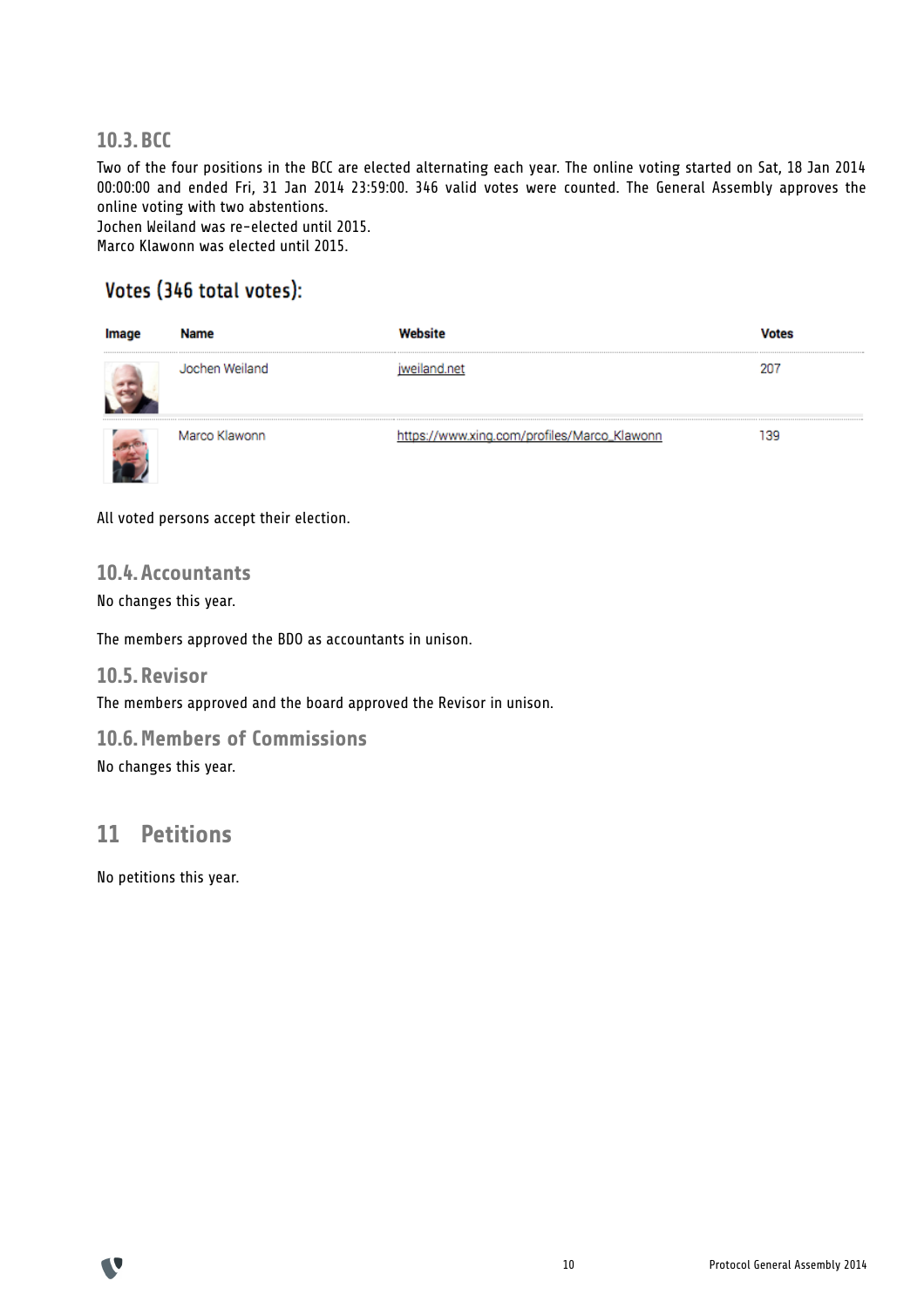#### **10.3.BCC**

Two of the four positions in the BCC are elected alternating each year. The online voting started on Sat, 18 Jan 2014 00:00:00 and ended Fri, 31 Jan 2014 23:59:00. 346 valid votes were counted. The General Assembly approves the online voting with two abstentions. Jochen Weiland was re-elected until 2015.

Marco Klawonn was elected until 2015.

## Votes (346 total votes):

| <b>Name</b>    |                                             |  |
|----------------|---------------------------------------------|--|
| Jochen Weiland |                                             |  |
| Marco Klawonn  | https://www.xing.com/profiles/Marco_Klawonn |  |

All voted persons accept their election.

#### **10.4.Accountants**

No changes this year.

The members approved the BDO as accountants in unison.

#### **10.5.Revisor**

The members approved and the board approved the Revisor in unison.

#### **10.6.Members of Commissions**

No changes this year.

## **11 Petitions**

No petitions this year.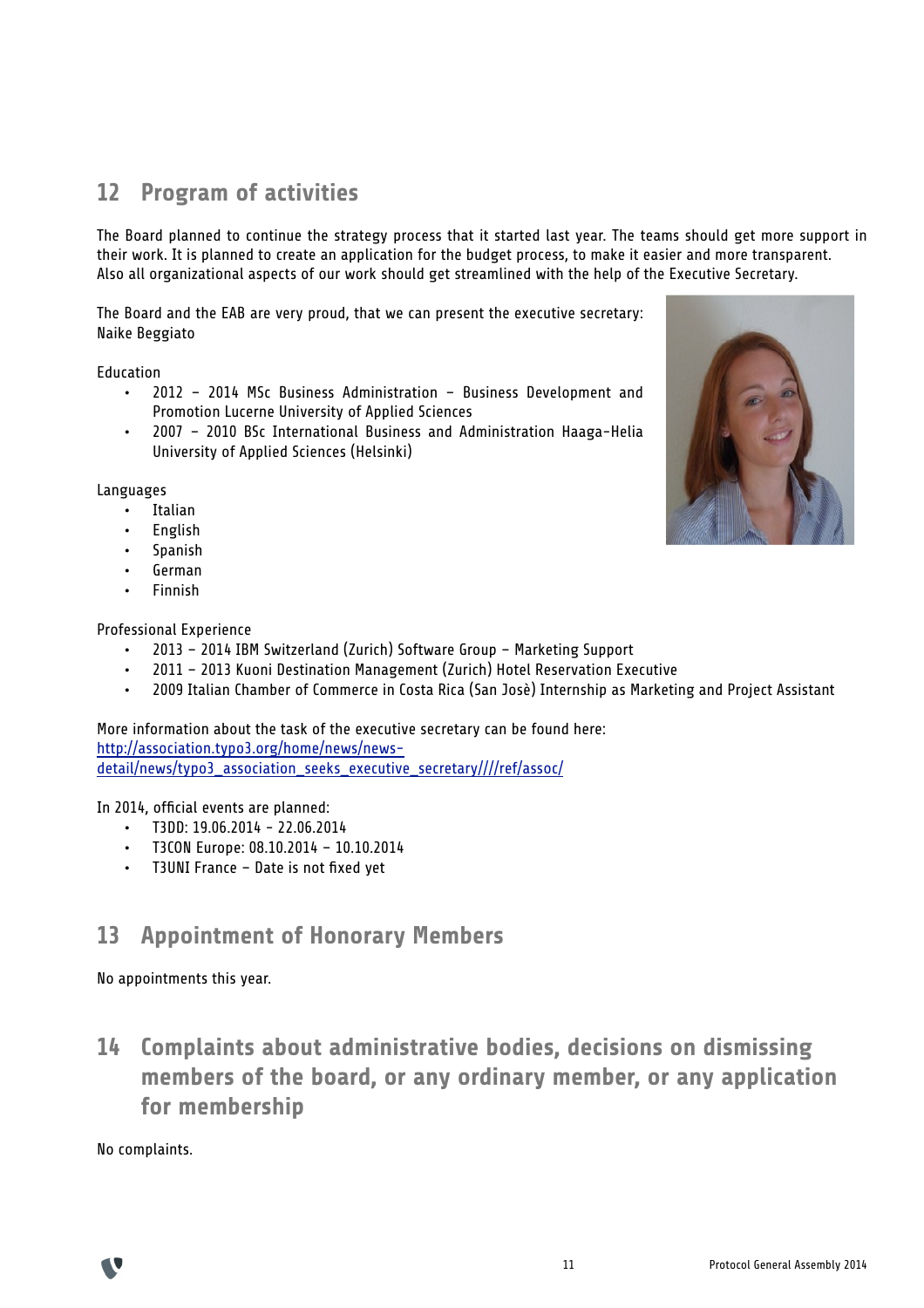# **12 Program of activities**

The Board planned to continue the strategy process that it started last year. The teams should get more support in their work. It is planned to create an application for the budget process, to make it easier and more transparent. Also all organizational aspects of our work should get streamlined with the help of the Executive Secretary.

The Board and the EAB are very proud, that we can present the executive secretary: Naike Beggiato

Education

- 2012 2014 MSc Business Administration Business Development and Promotion Lucerne University of Applied Sciences
- 2007 2010 BSc International Business and Administration Haaga-Helia University of Applied Sciences (Helsinki)

Languages

- Italian
- English
- **Spanish**
- German
- Finnish

Professional Experience

- 2013 2014 IBM Switzerland (Zurich) Software Group Marketing Support
- 2011 2013 Kuoni Destination Management (Zurich) Hotel Reservation Executive
- 2009 Italian Chamber of Commerce in Costa Rica (San Josè) Internship as Marketing and Project Assistant

More information about the task of the executive secretary can be found here: http://association.typo3.org/home/news/newsdetail/news/typo3\_association\_seeks\_executive\_secretary////ref/assoc/

In 2014, official events are planned:

- $\cdot$  T3DD: 19.06.2014 22.06.2014
- T3CON Europe: 08.10.2014 10.10.2014
- T3UNI France Date is not fixed yet

## **13 Appointment of Honorary Members**

No appointments this year.

**14 Complaints about administrative bodies, decisions on dismissing members of the board, or any ordinary member, or any application for membership**

No complaints.